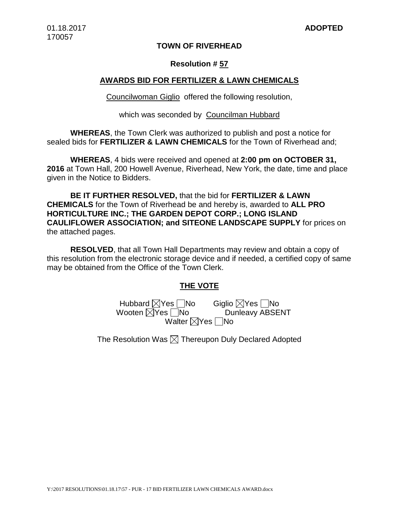### **TOWN OF RIVERHEAD**

#### **Resolution # 57**

#### **AWARDS BID FOR FERTILIZER & LAWN CHEMICALS**

Councilwoman Giglio offered the following resolution,

which was seconded by Councilman Hubbard

**WHEREAS**, the Town Clerk was authorized to publish and post a notice for sealed bids for **FERTILIZER & LAWN CHEMICALS** for the Town of Riverhead and;

**WHEREAS**, 4 bids were received and opened at **2:00 pm on OCTOBER 31, 2016** at Town Hall, 200 Howell Avenue, Riverhead, New York, the date, time and place given in the Notice to Bidders.

**BE IT FURTHER RESOLVED,** that the bid for **FERTILIZER & LAWN CHEMICALS** for the Town of Riverhead be and hereby is, awarded to **ALL PRO HORTICULTURE INC.; THE GARDEN DEPOT CORP.; LONG ISLAND CAULIFLOWER ASSOCIATION; and SITEONE LANDSCAPE SUPPLY** for prices on the attached pages.

**RESOLVED**, that all Town Hall Departments may review and obtain a copy of this resolution from the electronic storage device and if needed, a certified copy of same may be obtained from the Office of the Town Clerk.

## **THE VOTE**

Hubbard  $\boxtimes$ Yes  $\Box$ No Giglio  $\boxtimes$ Yes  $\Box$ No Wooten  $\boxtimes$ Yes  $\Box$ No Dunleavy ABSENT Walter  $\nabla$ Yes  $\nabla$ No

The Resolution Was  $\boxtimes$  Thereupon Duly Declared Adopted